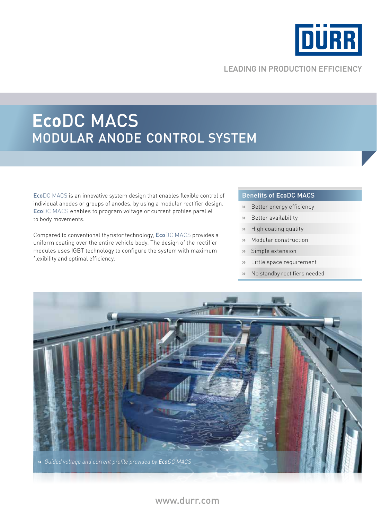

# **LEADING IN PRODUCTION EFFICIENCY**

# **Eco**DC MACS MODULAR ANODE CONTROL SYSTEM

EcoDC MACS is an innovative system design that enables flexible control of individual anodes or groups of anodes, by using a modular rectifier design. EcoDC MACS enables to program voltage or current profiles parallel to body movements.

Compared to conventional thyristor technology, EcoDC MACS provides a uniform coating over the entire vehicle body. The design of the rectifier modules uses IGBT technology to configure the system with maximum flexibility and optimal efficiency.

#### Benefits of **Eco**DC MACS

- **»** Better energy efficiency
- **»** Better availability
- **»** High coating quality
- **»** Modular construction
- **»** Simple extension
- **»** Little space requirement
- **»** No standby rectifiers needed



# www.durr.com